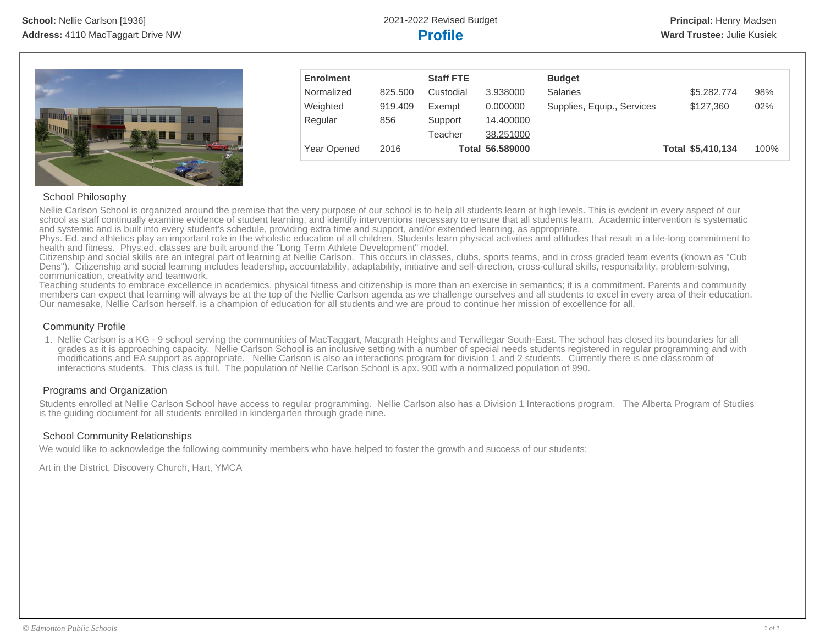

| <b>Enrolment</b> |         | <b>Staff FTE</b> |                 | <b>Budget</b>              |                   |      |
|------------------|---------|------------------|-----------------|----------------------------|-------------------|------|
| Normalized       | 825.500 | Custodial        | 3.938000        | <b>Salaries</b>            | \$5,282,774       | 98%  |
| Weighted         | 919,409 | Exempt           | 0.000000        | Supplies, Equip., Services | \$127,360         | 02%  |
| Regular          | 856     | Support          | 14.400000       |                            |                   |      |
|                  |         | Teacher          | 38.251000       |                            |                   |      |
| Year Opened      | 2016    |                  | Total 56.589000 |                            | Total \$5,410,134 | 100% |

# School Philosophy

Nellie Carlson School is organized around the premise that the very purpose of our school is to help all students learn at high levels. This is evident in every aspect of our school as staff continually examine evidence of student learning, and identify interventions necessary to ensure that all students learn. Academic intervention is systematic and systemic and is built into every student's schedule, providing extra time and support, and/or extended learning, as appropriate.

Phys. Ed. and athletics play an important role in the wholistic education of all children. Students learn physical activities and attitudes that result in a life-long commitment to health and fitness. Phys.ed. classes are built around the "Long Term Athlete Development" model.

Citizenship and social skills are an integral part of learning at Nellie Carlson. This occurs in classes, clubs, sports teams, and in cross graded team events (known as "Cub Dens"). Citizenship and social learning includes leadership, accountability, adaptability, initiative and self-direction, cross-cultural skills, responsibility, problem-solving, communication, creativity and teamwork.

Teaching students to embrace excellence in academics, physical fitness and citizenship is more than an exercise in semantics; it is a commitment. Parents and community members can expect that learning will always be at the top of the Nellie Carlson agenda as we challenge ourselves and all students to excel in every area of their education. Our namesake, Nellie Carlson herself, is a champion of education for all students and we are proud to continue her mission of excellence for all.

# Community Profile

1. Nellie Carlson is a KG - 9 school serving the communities of MacTaggart, Macgrath Heights and Terwillegar South-East. The school has closed its boundaries for all grades as it is approaching capacity. Nellie Carlson School is an inclusive setting with a number of special needs students registered in regular programming and with modifications and EA support as appropriate. Nellie Carlson is also an interactions program for division 1 and 2 students. Currently there is one classroom of interactions students. This class is full. The population of Nellie Carlson School is apx. 900 with a normalized population of 990.

# Programs and Organization

Students enrolled at Nellie Carlson School have access to regular programming. Nellie Carlson also has a Division 1 Interactions program. The Alberta Program of Studies is the guiding document for all students enrolled in kindergarten through grade nine.

# School Community Relationships

We would like to acknowledge the following community members who have helped to foster the growth and success of our students:

Art in the District, Discovery Church, Hart, YMCA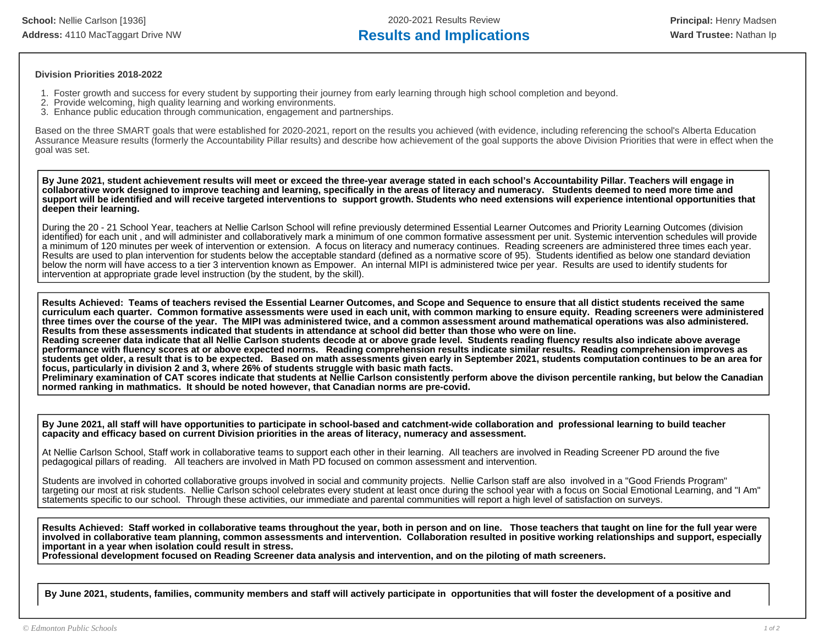**School:** Nellie Carlson [1936] 2020-2021 Results Review **Principal:** Henry Madsen Address: 4110 MacTaggart Drive NW **Results and Implications Ward Trustee:** Nathan Ip

## **Division Priorities 2018-2022**

- 1. Foster growth and success for every student by supporting their journey from early learning through high school completion and beyond.
- 2. Provide welcoming, high quality learning and working environments.
- 3. Enhance public education through communication, engagement and partnerships.

Based on the three SMART goals that were established for 2020-2021, report on the results you achieved (with evidence, including referencing the school's Alberta Education Assurance Measure results (formerly the Accountability Pillar results) and describe how achievement of the goal supports the above Division Priorities that were in effect when the goal was set.

**By June 2021, student achievement results will meet or exceed the three-year average stated in each school's Accountability Pillar. Teachers will engage in collaborative work designed to improve teaching and learning, specifically in the areas of literacy and numeracy. Students deemed to need more time and support will be identified and will receive targeted interventions to support growth. Students who need extensions will experience intentional opportunities that deepen their learning.**

During the 20 - 21 School Year, teachers at Nellie Carlson School will refine previously determined Essential Learner Outcomes and Priority Learning Outcomes (division identified) for each unit , and will administer and collaboratively mark a minimum of one common formative assessment per unit. Systemic intervention schedules will provide a minimum of 120 minutes per week of intervention or extension. A focus on literacy and numeracy continues. Reading screeners are administered three times each year. Results are used to plan intervention for students below the acceptable standard (defined as a normative score of 95). Students identified as below one standard deviation below the norm will have access to a tier 3 intervention known as Empower. An internal MIPI is administered twice per year. Results are used to identify students for intervention at appropriate grade level instruction (by the student, by the skill).

**Results Achieved: Teams of teachers revised the Essential Learner Outcomes, and Scope and Sequence to ensure that all distict students received the same curriculum each quarter. Common formative assessments were used in each unit, with common marking to ensure equity. Reading screeners were administered three times over the course of the year. The MIPI was administered twice, and a common assessment around mathematical operations was also administered. Results from these assessments indicated that students in attendance at school did better than those who were on line. Reading screener data indicate that all Nellie Carlson students decode at or above grade level. Students reading fluency results also indicate above average performance with fluency scores at or above expected norms. Reading comprehension results indicate similar results. Reading comprehension improves as students get older, a result that is to be expected. Based on math assessments given early in September 2021, students computation continues to be an area for focus, particularly in division 2 and 3, where 26% of students struggle with basic math facts.** 

**Preliminary examination of CAT scores indicate that students at Nellie Carlson consistently perform above the divison percentile ranking, but below the Canadian normed ranking in mathmatics. It should be noted however, that Canadian norms are pre-covid.** 

**By June 2021, all staff will have opportunities to participate in school-based and catchment-wide collaboration and professional learning to build teacher capacity and efficacy based on current Division priorities in the areas of literacy, numeracy and assessment.** 

At Nellie Carlson School, Staff work in collaborative teams to support each other in their learning. All teachers are involved in Reading Screener PD around the five pedagogical pillars of reading. All teachers are involved in Math PD focused on common assessment and intervention.

Students are involved in cohorted collaborative groups involved in social and community projects. Nellie Carlson staff are also involved in a "Good Friends Program" targeting our most at risk students. Nellie Carlson school celebrates every student at least once during the school year with a focus on Social Emotional Learning, and "I Am" statements specific to our school. Through these activities, our immediate and parental communities will report a high level of satisfaction on surveys.

**Results Achieved: Staff worked in collaborative teams throughout the year, both in person and on line. Those teachers that taught on line for the full year were involved in collaborative team planning, common assessments and intervention. Collaboration resulted in positive working relationships and support, especially important in a year when isolation could result in stress.** 

**Professional development focused on Reading Screener data analysis and intervention, and on the piloting of math screeners.** 

**By June 2021, students, families, community members and staff will actively participate in opportunities that will foster the development of a positive and**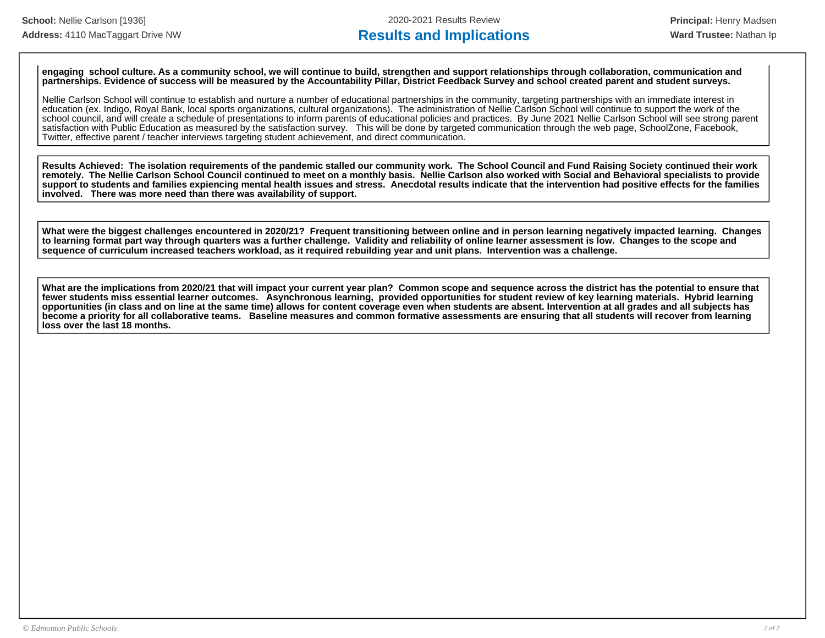**engaging school culture. As a community school, we will continue to build, strengthen and support relationships through collaboration, communication and partnerships. Evidence of success will be measured by the Accountability Pillar, District Feedback Survey and school created parent and student surveys.** 

Nellie Carlson School will continue to establish and nurture a number of educational partnerships in the community, targeting partnerships with an immediate interest in education (ex. Indigo, Royal Bank, local sports organizations, cultural organizations). The administration of Nellie Carlson School will continue to support the work of the school council, and will create a schedule of presentations to inform parents of educational policies and practices. By June 2021 Nellie Carlson School will see strong parent satisfaction with Public Education as measured by the satisfaction survey. This will be done by targeted communication through the web page, SchoolZone, Facebook, Twitter, effective parent / teacher interviews targeting student achievement, and direct communication.

**Results Achieved: The isolation requirements of the pandemic stalled our community work. The School Council and Fund Raising Society continued their work remotely. The Nellie Carlson School Council continued to meet on a monthly basis. Nellie Carlson also worked with Social and Behavioral specialists to provide support to students and families expiencing mental health issues and stress. Anecdotal results indicate that the intervention had positive effects for the families involved. There was more need than there was availability of support.** 

**What were the biggest challenges encountered in 2020/21? Frequent transitioning between online and in person learning negatively impacted learning. Changes to learning format part way through quarters was a further challenge. Validity and reliability of online learner assessment is low. Changes to the scope and sequence of curriculum increased teachers workload, as it required rebuilding year and unit plans. Intervention was a challenge.** 

**What are the implications from 2020/21 that will impact your current year plan? Common scope and sequence across the district has the potential to ensure that fewer students miss essential learner outcomes. Asynchronous learning, provided opportunities for student review of key learning materials. Hybrid learning opportunities (in class and on line at the same time) allows for content coverage even when students are absent. Intervention at all grades and all subjects has become a priority for all collaborative teams. Baseline measures and common formative assessments are ensuring that all students will recover from learning loss over the last 18 months.**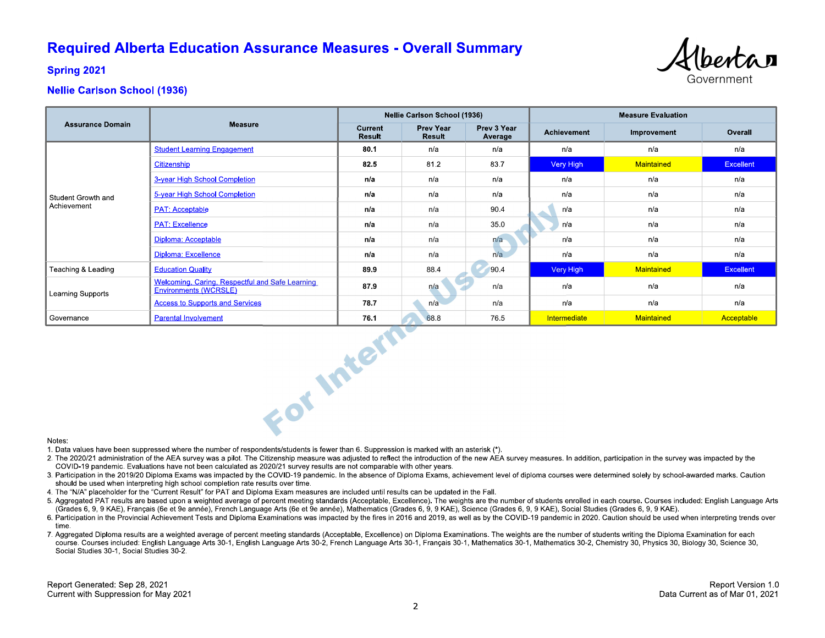# **Required Alberta Education Assurance Measures - Overall Summary**



**Spring 2021** 

# **Nellie Carlson School (1936)**

|                                   |                                                                          | <b>Nellie Carlson School (1936)</b> |                            |                        | <b>Measure Evaluation</b> |             |                  |
|-----------------------------------|--------------------------------------------------------------------------|-------------------------------------|----------------------------|------------------------|---------------------------|-------------|------------------|
| <b>Assurance Domain</b>           | <b>Measure</b>                                                           | Current<br><b>Result</b>            | Prev Year<br><b>Result</b> | Prev 3 Year<br>Average | <b>Achievement</b>        | Improvement | Overall          |
| Student Growth and<br>Achievement | <b>Student Learning Engagement</b>                                       | 80 1                                | n/a                        | n/a                    | n/a                       | n/a         | n/a              |
|                                   | Citizenship                                                              | 82.5                                | 812                        | 83.7                   | Very High                 | Maintained  | <b>Excellent</b> |
|                                   | 3-year High School Completion                                            | n/a                                 | n/a                        | n/a                    | n/a                       | n/a         | n/a              |
|                                   | 5-year High School Completion                                            | n/a                                 | n/a                        | n/a                    | n/a                       | n/a         | n/a              |
|                                   | <b>PAT: Acceptable</b>                                                   | n/a                                 | n/a                        | 90.4                   | n/a                       | n/a         | n/a              |
|                                   | <b>PAT: Excellence</b>                                                   | n/a                                 | n/a                        | 35.0                   | n/a                       | n/a         | n/a              |
|                                   | Diploma: Acceptable                                                      | n/a                                 | n/a                        | n/a                    | n/a                       | n/a         | n/a              |
|                                   | Diploma: Excellence                                                      | n/a                                 | n/a                        | n/a                    | n/a                       | n/a         | n/a              |
| Teaching & Leading                | <b>Education Quality</b>                                                 | 89.9                                | 88.4                       | 90.4                   | Very High                 | Maintained  | <b>Excellent</b> |
| Learning Supports                 | Welcoming, Caring, Respectful and Safe Learning<br>Environments (WCRSLE) | 87.9                                | n/a                        | n/a                    | n/a                       | n/a         | n/a              |
|                                   | <b>Access to Supports and Services</b>                                   | 78.7                                | n/a                        | n/a                    | n/a                       | n/a         | n/a              |
| Governance                        | <b>Parental Involvement</b>                                              | 76.1                                | 68.8                       | 76.5                   | Intermediate              | Maintained  | Acceptable       |
| Notes:                            | For Intern                                                               |                                     |                            |                        |                           |             |                  |

### Notes:

1. Data values have been suppressed where the number of respondents/students is fewer than 6. Suppression is marked with an asterisk (\*).

- 2. The 2020/21 administration of the AEA survey was a pilot. The Citizenship measure was adjusted to reflect the introduction of the new AEA survey measures. In addition, participation in the survey was impacted by the COVID-19 pandemic. Evaluations have not been calculated as 2020/21 survey results are not comparable with other years.
- 3. Participation in the 2019/20 Diploma Exams was impacted by the COVID-19 pandemic. In the absence of Diploma Exams, achievement level of diploma courses were determined solely by school-awarded marks. Caution should be used when interpreting high school completion rate results over time.
- 4. The "N/A" placeholder for the "Current Result" for PAT and Diploma Exam measures are included until results can be updated in the Fall.
- 5. Aggregated PAT results are based upon a weighted average of percent meeting standards (Acceptable, Excellence). The weights are the number of students enrolled in each course. Courses included: English Language Arts (Grades 6, 9, 9 KAE), Français (6e et 9e année), French Language Arts (6e et 9e année), Mathematics (Grades 6, 9, 9 KAE), Science (Grades 6, 9, 9 KAE), Social Studies (Grades 6, 9, 9 KAE).
- 6. Participation in the Provincial Achievement Tests and Diploma Examinations was impacted by the fires in 2016 and 2019, as well as by the COVID-19 pandemic in 2020. Caution should be used when interpreting trends over time
- 7. Aggregated Diploma results are a weighted average of percent meeting standards (Acceptable, Excellence) on Diploma Examinations. The weights are the number of students writing the Diploma Examination for each course. Courses included: English Language Arts 30-1, English Language Arts 30-2, French Language Arts 30-1, Français 30-1, Mathematics 30-1, Mathematics 30-2, Chemistry 30, Physics 30, Biology 30, Science 30, Social Studies 30-1, Social Studies 30-2.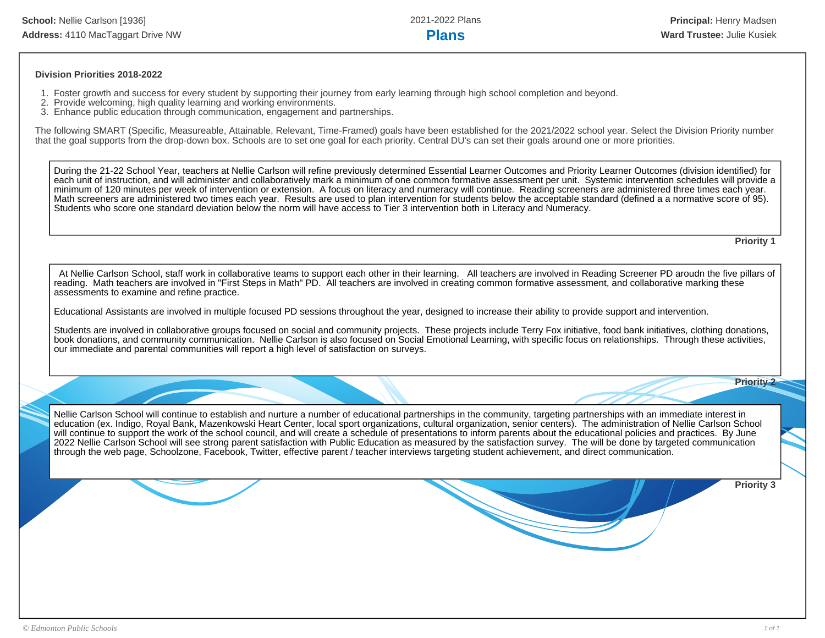## **Division Priorities 2018-2022**

- 1. Foster growth and success for every student by supporting their journey from early learning through high school completion and beyond.
- 2. Provide welcoming, high quality learning and working environments.
- 3. Enhance public education through communication, engagement and partnerships.

The following SMART (Specific, Measureable, Attainable, Relevant, Time-Framed) goals have been established for the 2021/2022 school year. Select the Division Priority number that the goal supports from the drop-down box. Schools are to set one goal for each priority. Central DU's can set their goals around one or more priorities.

During the 21-22 School Year, teachers at Nellie Carlson will refine previously determined Essential Learner Outcomes and Priority Learner Outcomes (division identified) for each unit of instruction, and will administer and collaboratively mark a minimum of one common formative assessment per unit. Systemic intervention schedules will provide a minimum of 120 minutes per week of intervention or extension. A focus on literacy and numeracy will continue. Reading screeners are administered three times each year. Math screeners are administered two times each year. Results are used to plan intervention for students below the acceptable standard (defined a a normative score of 95). Students who score one standard deviation below the norm will have access to Tier 3 intervention both in Literacy and Numeracy.

**Priority 1**

 At Nellie Carlson School, staff work in collaborative teams to support each other in their learning. All teachers are involved in Reading Screener PD aroudn the five pillars of reading. Math teachers are involved in "First Steps in Math" PD. All teachers are involved in creating common formative assessment, and collaborative marking these assessments to examine and refine practice.

Educational Assistants are involved in multiple focused PD sessions throughout the year, designed to increase their ability to provide support and intervention.

Students are involved in collaborative groups focused on social and community projects. These projects include Terry Fox initiative, food bank initiatives, clothing donations, book donations, and community communication. Nellie Carlson is also focused on Social Emotional Learning, with specific focus on relationships. Through these activities, our immediate and parental communities will report a high level of satisfaction on surveys.

Nellie Carlson School will continue to establish and nurture a number of educational partnerships in the community, targeting partnerships with an immediate interest in education (ex. Indigo, Royal Bank, Mazenkowski Heart Center, local sport organizations, cultural organization, senior centers). The administration of Nellie Carlson School will continue to support the work of the school council, and will create a schedule of presentations to inform parents about the educational policies and practices. By June 2022 Nellie Carlson School will see strong parent satisfaction with Public Education as measured by the satisfaction survey. The will be done by targeted communication through the web page, Schoolzone, Facebook, Twitter, effective parent / teacher interviews targeting student achievement, and direct communication.

**Priority 3**

**Priority 2**